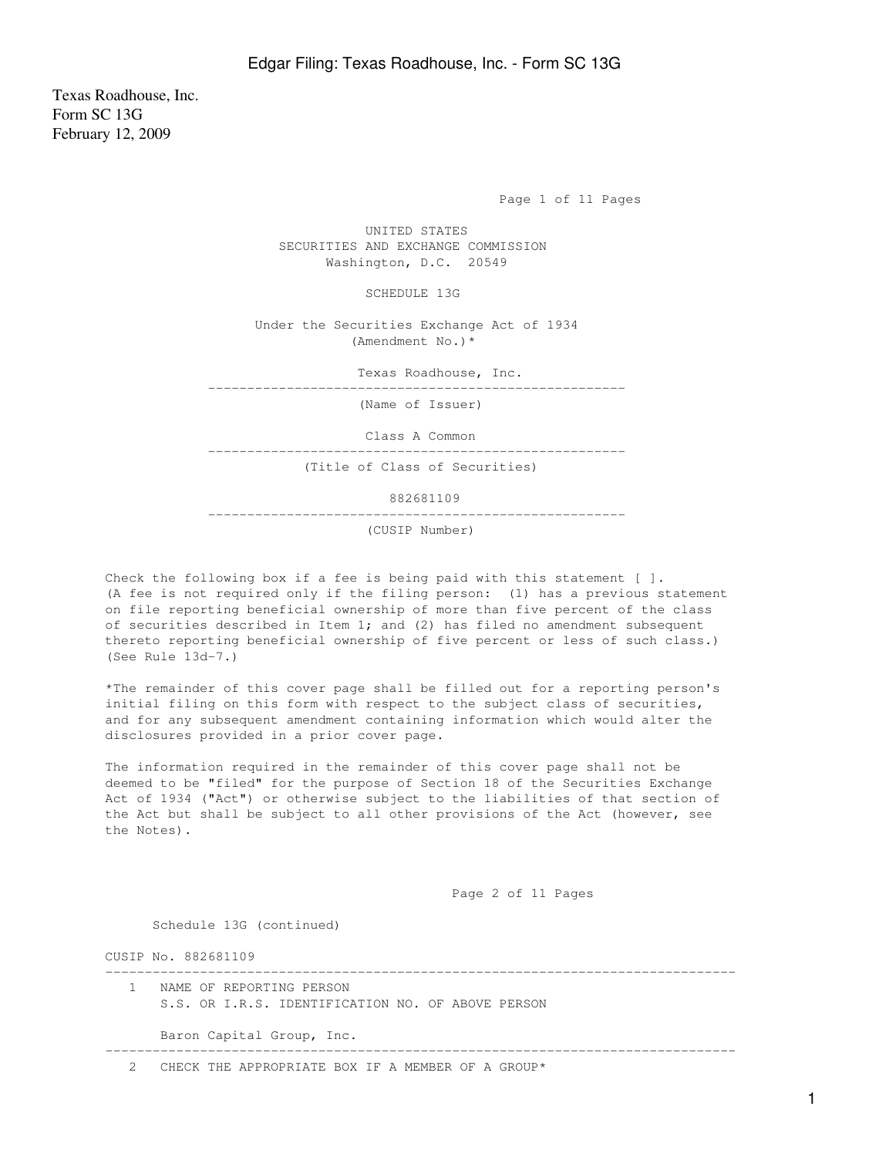Texas Roadhouse, Inc. Form SC 13G February 12, 2009

Page 1 of 11 Pages

 UNITED STATES SECURITIES AND EXCHANGE COMMISSION Washington, D.C. 20549

SCHEDULE 13G

 Under the Securities Exchange Act of 1934 (Amendment No.)\*

Texas Roadhouse, Inc.

-----------------------------------------------------

(Name of Issuer)

Class A Common

-----------------------------------------------------

(Title of Class of Securities)

882681109

-----------------------------------------------------

(CUSIP Number)

Check the following box if a fee is being paid with this statement [ ]. (A fee is not required only if the filing person: (1) has a previous statement on file reporting beneficial ownership of more than five percent of the class of securities described in Item 1; and (2) has filed no amendment subsequent thereto reporting beneficial ownership of five percent or less of such class.) (See Rule 13d-7.)

\*The remainder of this cover page shall be filled out for a reporting person's initial filing on this form with respect to the subject class of securities, and for any subsequent amendment containing information which would alter the disclosures provided in a prior cover page.

The information required in the remainder of this cover page shall not be deemed to be "filed" for the purpose of Section 18 of the Securities Exchange Act of 1934 ("Act") or otherwise subject to the liabilities of that section of the Act but shall be subject to all other provisions of the Act (however, see the Notes).

Page 2 of 11 Pages

Schedule 13G (continued)

CUSIP No. 882681109

| NAME OF REPORTING PERSON<br>S.S. OR I.R.S. IDENTIFICATION NO. OF ABOVE PERSON |
|-------------------------------------------------------------------------------|
| Baron Capital Group, Inc.                                                     |
| CHECK THE APPROPRIATE BOX IF A MEMBER OF A GROUP*                             |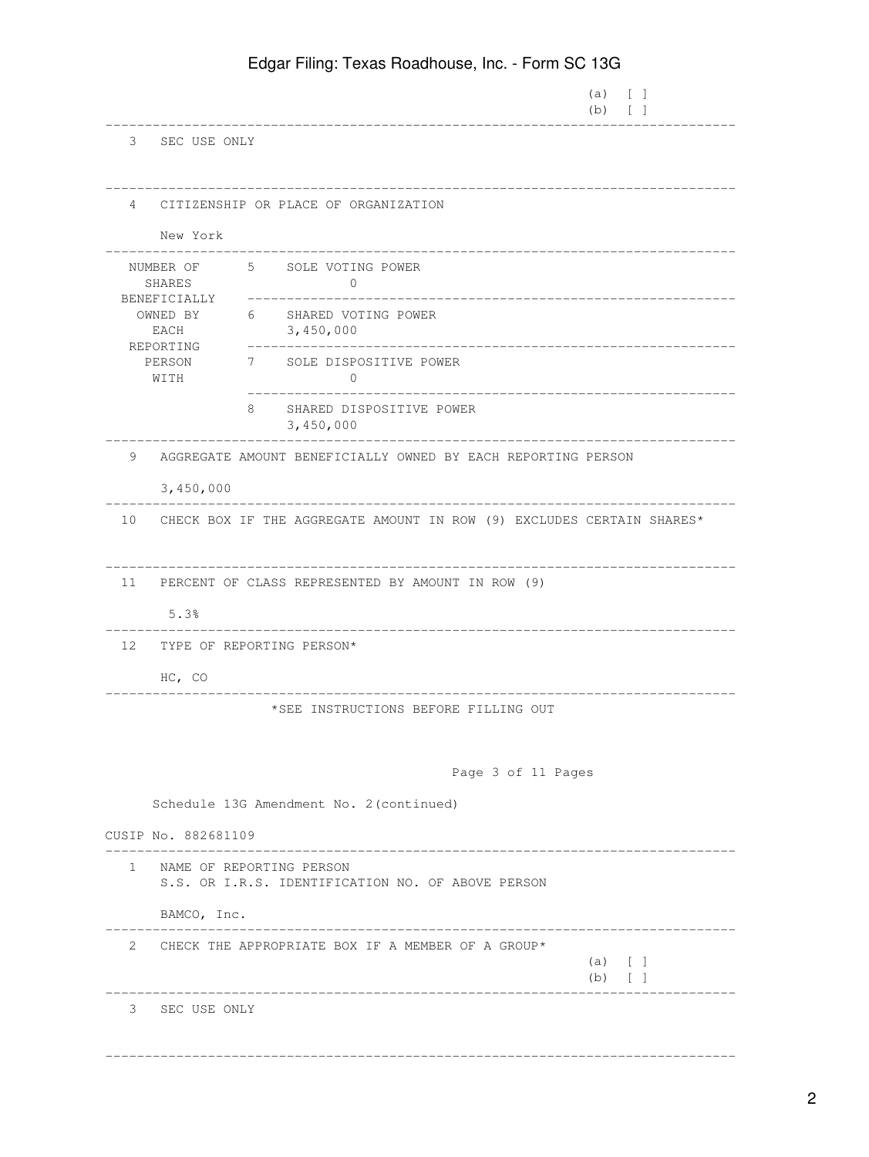|                |                                                                                 |                                                                          |                          | Lagar I illing. Toxas HoadHoaso, Ino. Thom oo Too |                                |  |
|----------------|---------------------------------------------------------------------------------|--------------------------------------------------------------------------|--------------------------|---------------------------------------------------|--------------------------------|--|
|                |                                                                                 |                                                                          |                          |                                                   | (a)<br>$\lceil$ 1<br>$(b)$ [ ] |  |
|                | 3 SEC USE ONLY                                                                  |                                                                          |                          |                                                   |                                |  |
| $\overline{4}$ | New York                                                                        | CITIZENSHIP OR PLACE OF ORGANIZATION                                     |                          |                                                   |                                |  |
|                | SHARES                                                                          | NUMBER OF 5 SOLE VOTING POWER                                            | $\mathbf{0}$             |                                                   |                                |  |
|                | BENEFICIALLY<br>OWNED BY<br>EACH                                                | 6 SHARED VOTING POWER<br>3,450,000                                       |                          |                                                   |                                |  |
|                | REPORTING<br>PERSON<br>WITH                                                     | 7 SOLE DISPOSITIVE POWER                                                 | $\Omega$                 |                                                   |                                |  |
|                |                                                                                 | 8.<br>3,450,000                                                          | SHARED DISPOSITIVE POWER |                                                   |                                |  |
| 9              |                                                                                 | AGGREGATE AMOUNT BENEFICIALLY OWNED BY EACH REPORTING PERSON             |                          |                                                   |                                |  |
|                | 3,450,000                                                                       |                                                                          |                          |                                                   |                                |  |
|                |                                                                                 | 10 CHECK BOX IF THE AGGREGATE AMOUNT IN ROW (9) EXCLUDES CERTAIN SHARES* |                          |                                                   |                                |  |
| 11             |                                                                                 | PERCENT OF CLASS REPRESENTED BY AMOUNT IN ROW (9)                        |                          |                                                   |                                |  |
|                | 5.3%                                                                            |                                                                          |                          |                                                   |                                |  |
| 12             |                                                                                 | TYPE OF REPORTING PERSON*                                                |                          |                                                   |                                |  |
|                | $HC$ , $CO$                                                                     |                                                                          |                          |                                                   |                                |  |
|                |                                                                                 |                                                                          |                          | *SEE INSTRUCTIONS BEFORE FILLING OUT              |                                |  |
|                | Page 3 of 11 Pages                                                              |                                                                          |                          |                                                   |                                |  |
|                |                                                                                 | Schedule 13G Amendment No. 2 (continued)                                 |                          |                                                   |                                |  |
|                | CUSIP No. 882681109                                                             |                                                                          |                          |                                                   |                                |  |
|                | 1 NAME OF REPORTING PERSON<br>S.S. OR I.R.S. IDENTIFICATION NO. OF ABOVE PERSON |                                                                          |                          |                                                   |                                |  |
|                | BAMCO, Inc.                                                                     |                                                                          |                          |                                                   |                                |  |
|                |                                                                                 | 2 CHECK THE APPROPRIATE BOX IF A MEMBER OF A GROUP*                      |                          |                                                   | $(a)$ [ ]<br>$(b)$ [ ]         |  |
|                | 3 SEC USE ONLY                                                                  |                                                                          |                          |                                                   |                                |  |
|                |                                                                                 |                                                                          |                          |                                                   |                                |  |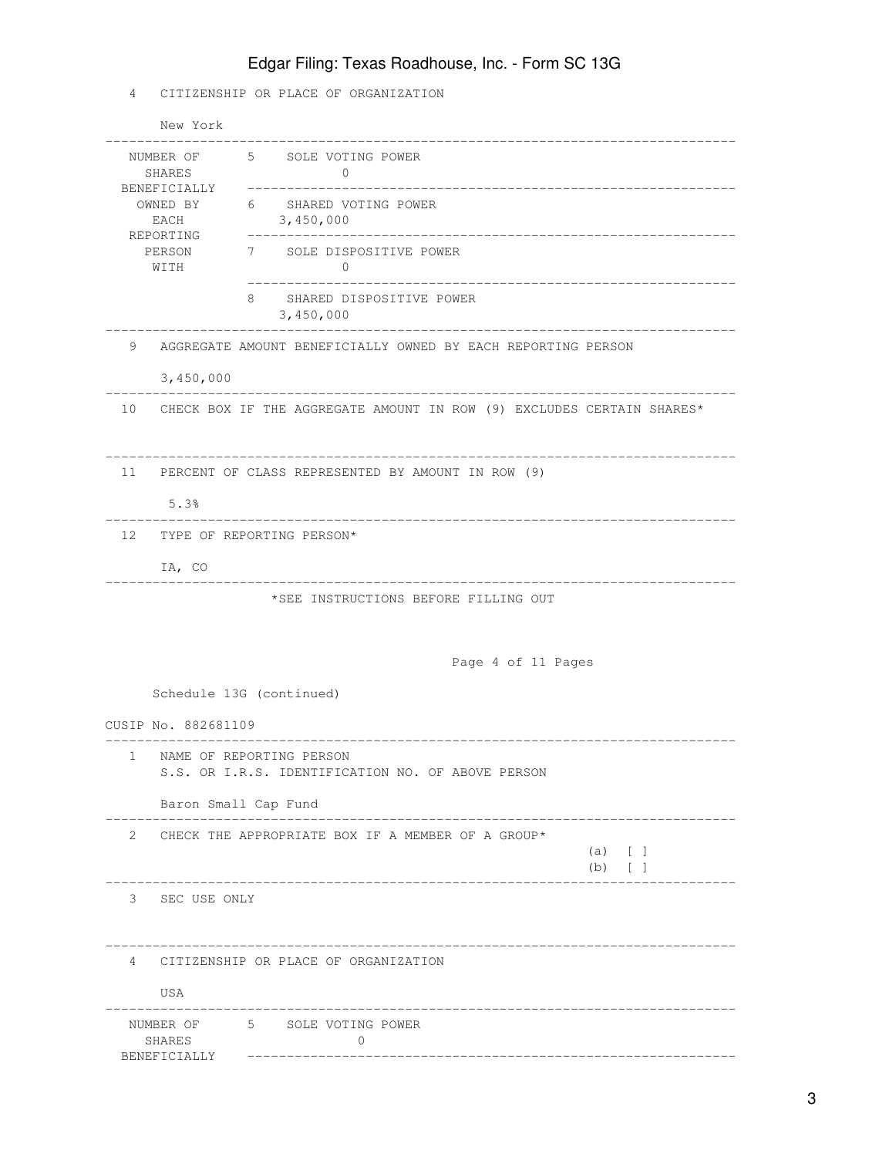4 CITIZENSHIP OR PLACE OF ORGANIZATION

|                                                                                        | New York                              |                                                                               |  |  |  |
|----------------------------------------------------------------------------------------|---------------------------------------|-------------------------------------------------------------------------------|--|--|--|
| NUMBER OF<br>SHARES<br>BENEFICIALLY<br>OWNED BY<br>EACH<br>REPORTING<br>PERSON<br>WITH |                                       | 5 SOLE VOTING POWER<br>0                                                      |  |  |  |
|                                                                                        |                                       | SHARED VOTING POWER<br>6<br>3,450,000                                         |  |  |  |
|                                                                                        |                                       | 7 SOLE DISPOSITIVE POWER<br>$\mathbf{0}$                                      |  |  |  |
|                                                                                        |                                       | 8<br>SHARED DISPOSITIVE POWER<br>3,450,000                                    |  |  |  |
| 9                                                                                      |                                       | AGGREGATE AMOUNT BENEFICIALLY OWNED BY EACH REPORTING PERSON                  |  |  |  |
|                                                                                        | 3,450,000                             |                                                                               |  |  |  |
|                                                                                        |                                       | 10 CHECK BOX IF THE AGGREGATE AMOUNT IN ROW (9) EXCLUDES CERTAIN SHARES*      |  |  |  |
| 11                                                                                     |                                       | PERCENT OF CLASS REPRESENTED BY AMOUNT IN ROW (9)                             |  |  |  |
|                                                                                        | 5.3%                                  |                                                                               |  |  |  |
|                                                                                        | 12 TYPE OF REPORTING PERSON*          |                                                                               |  |  |  |
|                                                                                        | IA, CO                                |                                                                               |  |  |  |
|                                                                                        |                                       | *SEE INSTRUCTIONS BEFORE FILLING OUT                                          |  |  |  |
|                                                                                        |                                       | Page 4 of 11 Pages                                                            |  |  |  |
|                                                                                        |                                       | Schedule 13G (continued)                                                      |  |  |  |
|                                                                                        | CUSIP No. 882681109                   |                                                                               |  |  |  |
| $\mathbf{1}$                                                                           |                                       | NAME OF REPORTING PERSON<br>S.S. OR I.R.S. IDENTIFICATION NO. OF ABOVE PERSON |  |  |  |
|                                                                                        |                                       | Baron Small Cap Fund                                                          |  |  |  |
| $\mathbf{2}^{\circ}$                                                                   |                                       | CHECK THE APPROPRIATE BOX IF A MEMBER OF A GROUP*<br>$(a)$ [ ]<br>$(b)$ [ ]   |  |  |  |
| 3                                                                                      | SEC USE ONLY                          |                                                                               |  |  |  |
|                                                                                        | USA                                   | 4 CITIZENSHIP OR PLACE OF ORGANIZATION                                        |  |  |  |
|                                                                                        | NUMBER OF 5<br>SHARES<br>BENEFICIALLY | SOLE VOTING POWER<br>0                                                        |  |  |  |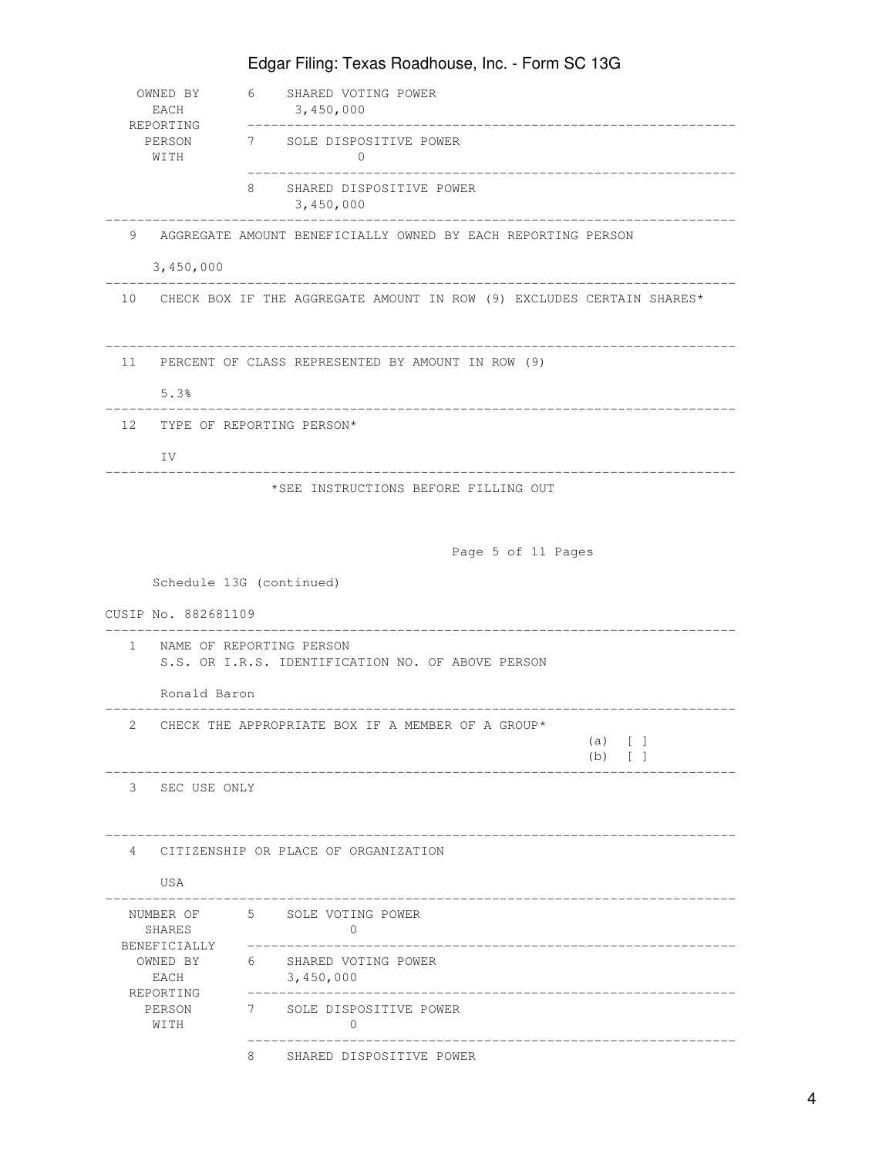| OWNED BY<br>EACH                                       | 6           | SHARED VOTING POWER<br>3,450,000                                         |            |            |  |  |
|--------------------------------------------------------|-------------|--------------------------------------------------------------------------|------------|------------|--|--|
| REPORTING<br>PERSON<br>WITH                            |             | 7 SOLE DISPOSITIVE POWER<br>$\Omega$                                     |            |            |  |  |
|                                                        | 8           | SHARED DISPOSITIVE POWER<br>3,450,000                                    |            |            |  |  |
| 9                                                      |             | AGGREGATE AMOUNT BENEFICIALLY OWNED BY EACH REPORTING PERSON             |            |            |  |  |
| 3,450,000                                              |             |                                                                          |            |            |  |  |
|                                                        |             | 10 CHECK BOX IF THE AGGREGATE AMOUNT IN ROW (9) EXCLUDES CERTAIN SHARES* |            |            |  |  |
| 11 PERCENT OF CLASS REPRESENTED BY AMOUNT IN ROW (9)   |             |                                                                          |            |            |  |  |
| 5.3%                                                   |             |                                                                          |            |            |  |  |
| 12 TYPE OF REPORTING PERSON*                           |             |                                                                          |            |            |  |  |
| IV                                                     |             |                                                                          |            |            |  |  |
|                                                        |             | *SEE INSTRUCTIONS BEFORE FILLING OUT                                     |            |            |  |  |
|                                                        |             |                                                                          |            |            |  |  |
|                                                        |             | Page 5 of 11 Pages                                                       |            |            |  |  |
| Schedule 13G (continued)                               |             |                                                                          |            |            |  |  |
|                                                        |             |                                                                          |            |            |  |  |
| CUSIP No. 882681109                                    |             |                                                                          |            |            |  |  |
| NAME OF REPORTING PERSON<br>$\mathbf{1}$               |             | S.S. OR I.R.S. IDENTIFICATION NO. OF ABOVE PERSON                        |            |            |  |  |
| Ronald Baron                                           |             |                                                                          |            |            |  |  |
| 2                                                      |             | CHECK THE APPROPRIATE BOX IF A MEMBER OF A GROUP*                        |            |            |  |  |
|                                                        |             |                                                                          | (a)<br>(b) | $\lceil$ 1 |  |  |
| 3<br>SEC USE ONLY                                      |             |                                                                          |            |            |  |  |
|                                                        |             |                                                                          |            |            |  |  |
| $\overline{4}$<br>CITIZENSHIP OR PLACE OF ORGANIZATION |             |                                                                          |            |            |  |  |
| USA                                                    |             |                                                                          |            |            |  |  |
| NUMBER OF<br>SHARES                                    |             | 5 SOLE VOTING POWER<br>0                                                 |            |            |  |  |
| BENEFICIALLY<br>OWNED BY<br>EACH                       | 6           | SHARED VOTING POWER<br>3,450,000                                         |            |            |  |  |
| REPORTING<br>PERSON<br>WITH                            | $7$ and $7$ | SOLE DISPOSITIVE POWER<br>$\Omega$                                       |            |            |  |  |
|                                                        | 8           | SHARED DISPOSITIVE POWER                                                 |            |            |  |  |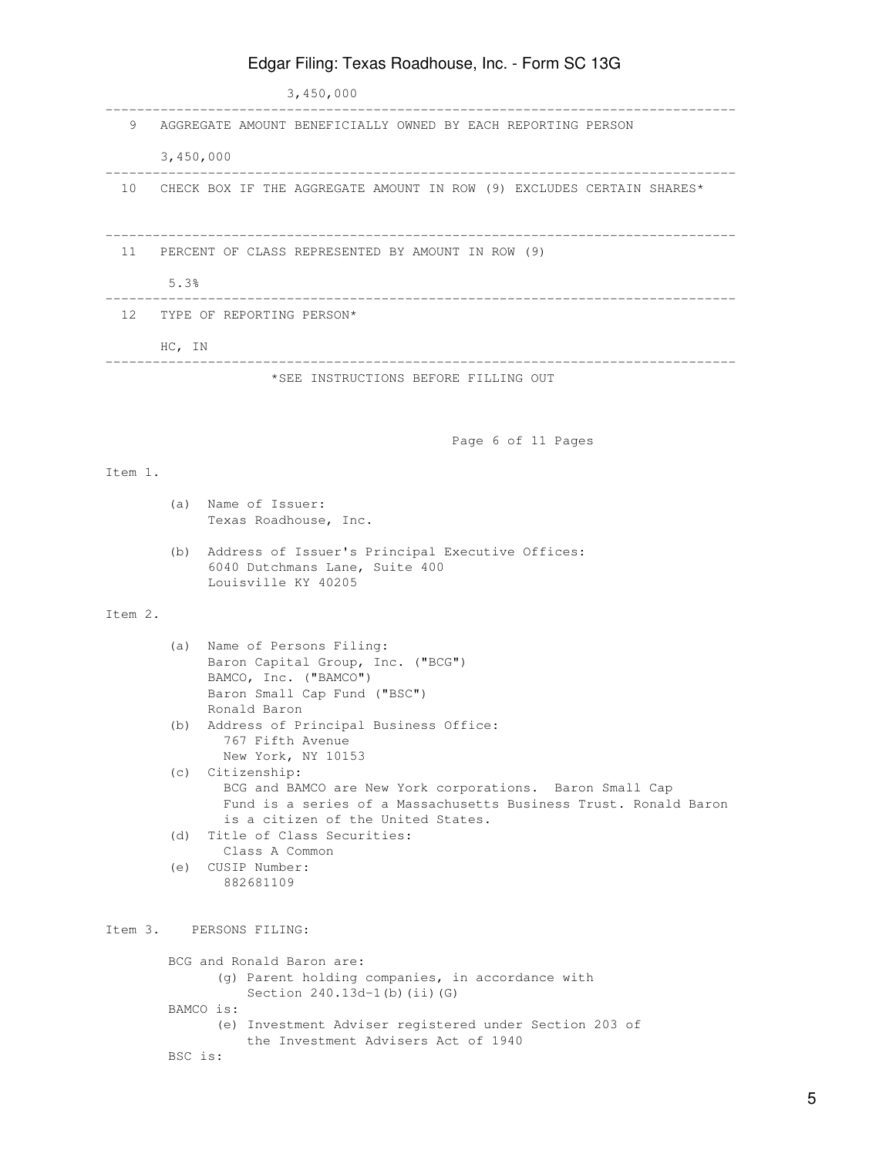### 3,450,000 -------------------------------------------------------------------------------- 9 AGGREGATE AMOUNT BENEFICIALLY OWNED BY EACH REPORTING PERSON 3,450,000 -------------------------------------------------------------------------------- 10 CHECK BOX IF THE AGGREGATE AMOUNT IN ROW (9) EXCLUDES CERTAIN SHARES\* -------------------------------------------------------------------------------- 11 PERCENT OF CLASS REPRESENTED BY AMOUNT IN ROW (9) 5.3% -------------------------------------------------------------------------------- 12 TYPE OF REPORTING PERSON\* HC, IN -------------------------------------------------------------------------------- \*SEE INSTRUCTIONS BEFORE FILLING OUT Page 6 of 11 Pages Item 1. (a) Name of Issuer: Texas Roadhouse, Inc. (b) Address of Issuer's Principal Executive Offices: 6040 Dutchmans Lane, Suite 400 Louisville KY 40205 Item 2. (a) Name of Persons Filing: Baron Capital Group, Inc. ("BCG") BAMCO, Inc. ("BAMCO") Baron Small Cap Fund ("BSC") Ronald Baron (b) Address of Principal Business Office: 767 Fifth Avenue New York, NY 10153 (c) Citizenship: BCG and BAMCO are New York corporations. Baron Small Cap Fund is a series of a Massachusetts Business Trust. Ronald Baron is a citizen of the United States. (d) Title of Class Securities: Class A Common (e) CUSIP Number: 882681109 Item 3. PERSONS FILING: BCG and Ronald Baron are: (g) Parent holding companies, in accordance with Section 240.13d-1(b)(ii)(G) BAMCO is: (e) Investment Adviser registered under Section 203 of the Investment Advisers Act of 1940

Edgar Filing: Texas Roadhouse, Inc. - Form SC 13G

#### BSC is:

5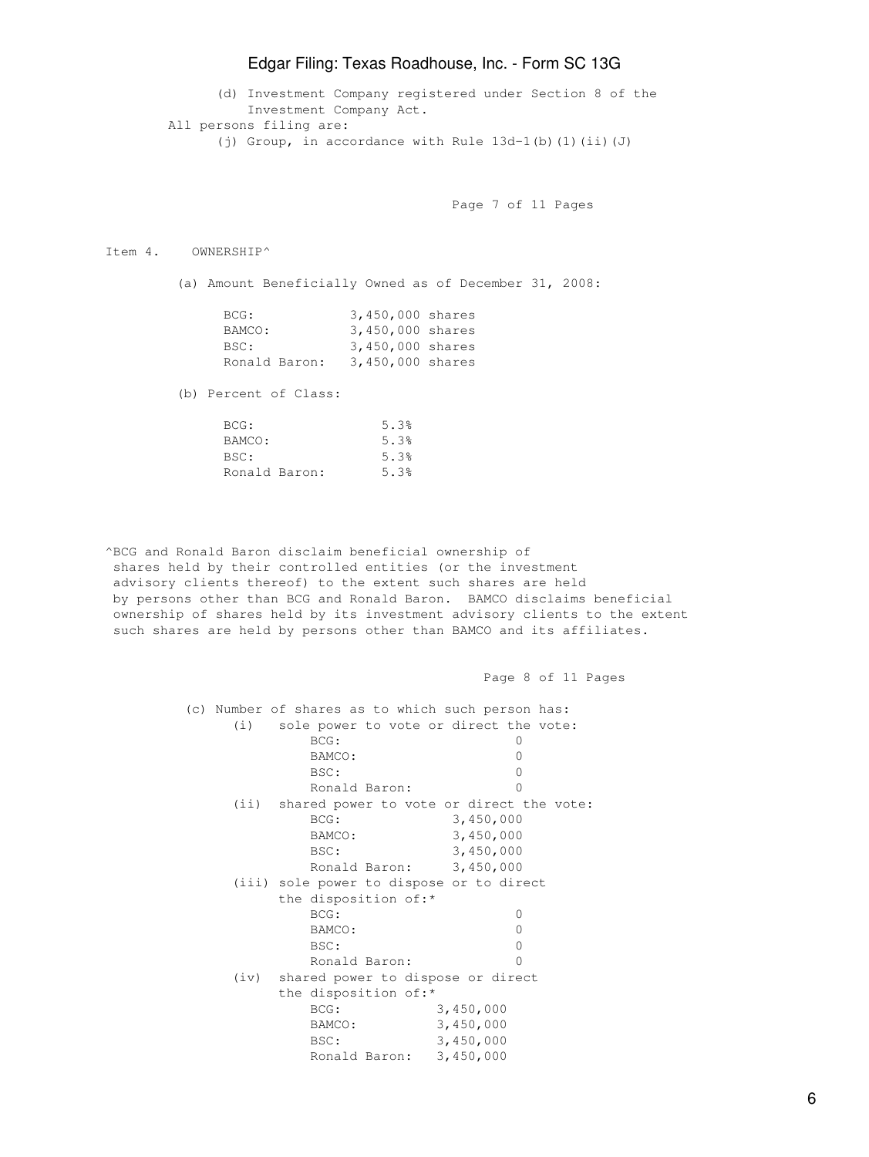(d) Investment Company registered under Section 8 of the Investment Company Act. All persons filing are: (j) Group, in accordance with Rule 13d-1(b)(1)(ii)(J)

Page 7 of 11 Pages

#### Item 4. OWNERSHIP^

(a) Amount Beneficially Owned as of December 31, 2008:

| BCG:          | 3,450,000 shares |  |
|---------------|------------------|--|
| BAMCO:        | 3,450,000 shares |  |
| BSC:          | 3,450,000 shares |  |
| Ronald Baron: | 3,450,000 shares |  |

(b) Percent of Class:

| BCG:          | 5.3% |
|---------------|------|
| BAMCO:        | 5.3% |
| BSC:          | 5.3% |
| Ronald Baron: | 5.3% |

^BCG and Ronald Baron disclaim beneficial ownership of shares held by their controlled entities (or the investment advisory clients thereof) to the extent such shares are held by persons other than BCG and Ronald Baron. BAMCO disclaims beneficial ownership of shares held by its investment advisory clients to the extent such shares are held by persons other than BAMCO and its affiliates.

 Page 8 of 11 Pages (c) Number of shares as to which such person has: (i) sole power to vote or direct the vote: BCG: 0 BAMCO: 0 BSC: 0 Ronald Baron: 0 (ii) shared power to vote or direct the vote: BCG: 3,450,000 BAMCO: 3,450,000 BSC: 3,450,000 Ronald Baron: 3,450,000 (iii) sole power to dispose or to direct the disposition of:\* BCG: 0 BAMCO: 0 BSC: 0 Ronald Baron: 0 (iv) shared power to dispose or direct the disposition of:\* BCG: 3,450,000 BAMCO: 3,450,000 BSC: 3,450,000 Ronald Baron: 3,450,000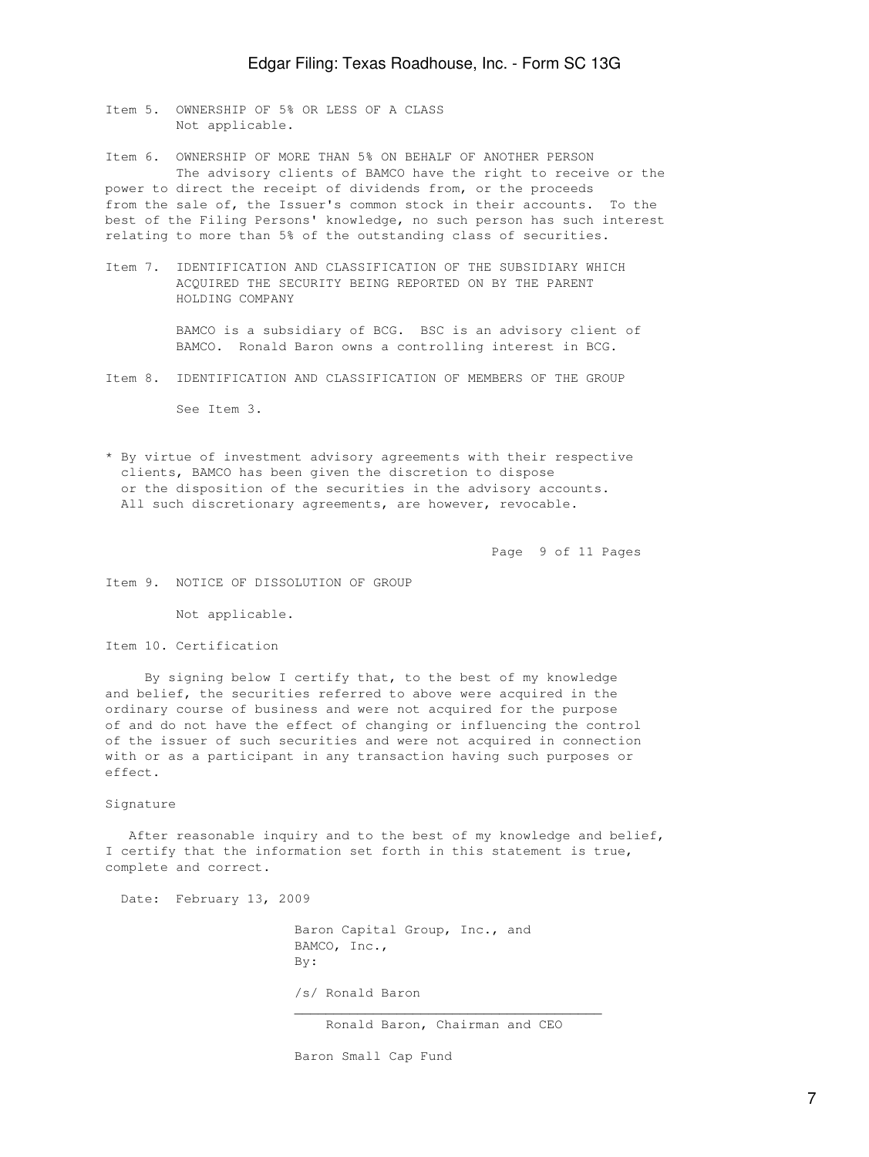Item 5. OWNERSHIP OF 5% OR LESS OF A CLASS Not applicable.

Item 6. OWNERSHIP OF MORE THAN 5% ON BEHALF OF ANOTHER PERSON The advisory clients of BAMCO have the right to receive or the power to direct the receipt of dividends from, or the proceeds from the sale of, the Issuer's common stock in their accounts. To the best of the Filing Persons' knowledge, no such person has such interest relating to more than 5% of the outstanding class of securities.

Item 7. IDENTIFICATION AND CLASSIFICATION OF THE SUBSIDIARY WHICH ACQUIRED THE SECURITY BEING REPORTED ON BY THE PARENT HOLDING COMPANY

> BAMCO is a subsidiary of BCG. BSC is an advisory client of BAMCO. Ronald Baron owns a controlling interest in BCG.

Item 8. IDENTIFICATION AND CLASSIFICATION OF MEMBERS OF THE GROUP

See Item 3.

\* By virtue of investment advisory agreements with their respective clients, BAMCO has been given the discretion to dispose or the disposition of the securities in the advisory accounts. All such discretionary agreements, are however, revocable.

Page 9 of 11 Pages

Item 9. NOTICE OF DISSOLUTION OF GROUP

Not applicable.

Item 10. Certification

 By signing below I certify that, to the best of my knowledge and belief, the securities referred to above were acquired in the ordinary course of business and were not acquired for the purpose of and do not have the effect of changing or influencing the control of the issuer of such securities and were not acquired in connection with or as a participant in any transaction having such purposes or effect.

Signature

 After reasonable inquiry and to the best of my knowledge and belief, I certify that the information set forth in this statement is true, complete and correct.

Date: February 13, 2009

 Baron Capital Group, Inc., and BAMCO, Inc., By: /s/ Ronald Baron  $\mathcal{L}_\mathcal{L}$  , which is a set of the set of the set of the set of the set of the set of the set of the set of the set of the set of the set of the set of the set of the set of the set of the set of the set of the set of

Ronald Baron, Chairman and CEO

Baron Small Cap Fund